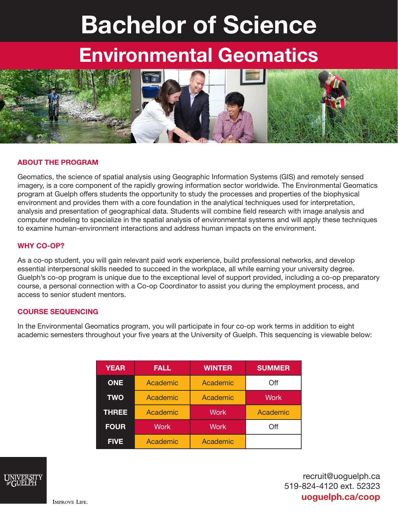# Bachelor of Science

## Environmental Geomatics



#### ABOUT THE PROGRAM

Geomatics, the science of spatial analysis using Geographic Information Systems (GIS) and remotely sensed imagery, is a core component of the rapidly growing information sector worldwide. The Environmental Geomatics program at Guelph offers students the opportunity to study the processes and properties of the biophysical environment and provides them with a core foundation in the analytical techniques used for interpretation, analysis and presentation of geographical data. Students will combine field research with image analysis and computer modeling to specialize in the spatial analysis of environmental systems and will apply these techniques to examine human-environment interactions and address human impacts on the environment.

#### WHY CO-OP?

As a co-op student, you will gain relevant paid work experience, build professional networks, and develop essential interpersonal skills needed to succeed in the workplace, all while earning your university degree. Guelph's co-op program is unique due to the exceptional level of support provided, including a co-op preparatory course, a personal connection with a Co-op Coordinator to assist you during the employment process, and access to senior student mentors.

#### COURSE SEQUENCING

In the Environmental Geomatics program, you will participate in four co-op work terms in addition to eight academic semesters throughout your five years at the University of Guelph. This sequencing is viewable below:

| <b>YEAR</b>  | <b>FALL</b> | <b>WINTER</b> | <b>SUMMER</b> |
|--------------|-------------|---------------|---------------|
| <b>ONE</b>   | Academic    | Academic      | Off           |
| <b>TWO</b>   | Academic    | Academic      | <b>Work</b>   |
| <b>THREE</b> | Academic    | <b>Work</b>   | Academic      |
| <b>FOUR</b>  | <b>Work</b> | Work          | Off           |
| <b>FIVE</b>  | Academic    | Academic      |               |



recruit@uoguelph.ca 519-824-4120 ext. 52323 uoguelph.ca/coop